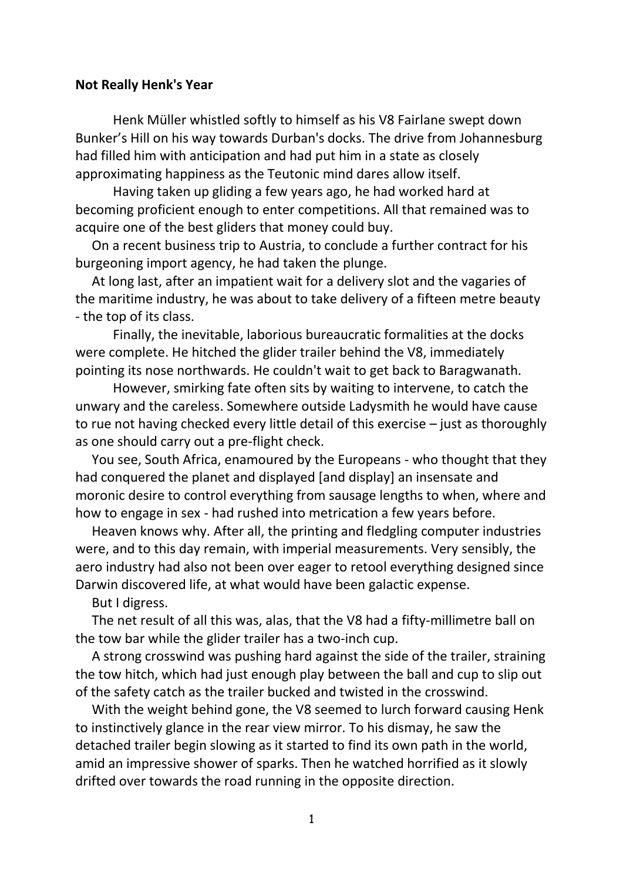## **Not Really Henk's Year**

Henk Müller whistled softly to himself as his V8 Fairlane swept down Bunker's Hill on his way towards Durban's docks. The drive from Johannesburg had filled him with anticipation and had put him in a state as closely approximating happiness as the Teutonic mind dares allow itself.

Having taken up gliding a few years ago, he had worked hard at becoming proficient enough to enter competitions. All that remained was to acquire one of the best gliders that money could buy.

 On a recent business trip to Austria, to conclude a further contract for his burgeoning import agency, he had taken the plunge.

 At long last, after an impatient wait for a delivery slot and the vagaries of the maritime industry, he was about to take delivery of a fifteen metre beauty - the top of its class.

Finally, the inevitable, laborious bureaucratic formalities at the docks were complete. He hitched the glider trailer behind the V8, immediately pointing its nose northwards. He couldn't wait to get back to Baragwanath.

However, smirking fate often sits by waiting to intervene, to catch the unwary and the careless. Somewhere outside Ladysmith he would have cause to rue not having checked every little detail of this exercise – just as thoroughly as one should carry out a pre-flight check.

 You see, South Africa, enamoured by the Europeans - who thought that they had conquered the planet and displayed [and display] an insensate and moronic desire to control everything from sausage lengths to when, where and how to engage in sex - had rushed into metrication a few years before.

 Heaven knows why. After all, the printing and fledgling computer industries were, and to this day remain, with imperial measurements. Very sensibly, the aero industry had also not been over eager to retool everything designed since Darwin discovered life, at what would have been galactic expense.

But I digress.

 The net result of all this was, alas, that the V8 had a fifty-millimetre ball on the tow bar while the glider trailer has a two-inch cup.

 A strong crosswind was pushing hard against the side of the trailer, straining the tow hitch, which had just enough play between the ball and cup to slip out of the safety catch as the trailer bucked and twisted in the crosswind.

 With the weight behind gone, the V8 seemed to lurch forward causing Henk to instinctively glance in the rear view mirror. To his dismay, he saw the detached trailer begin slowing as it started to find its own path in the world, amid an impressive shower of sparks. Then he watched horrified as it slowly drifted over towards the road running in the opposite direction.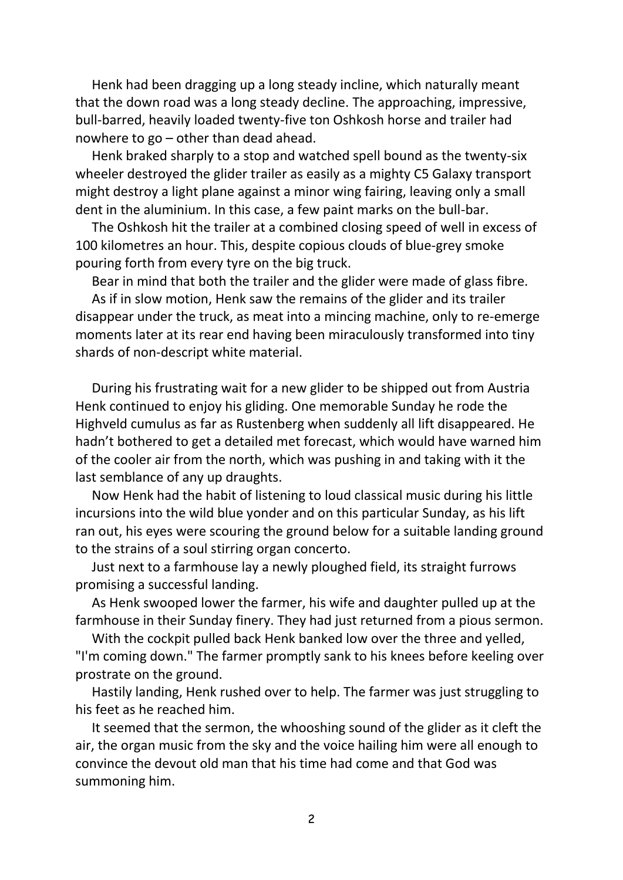Henk had been dragging up a long steady incline, which naturally meant that the down road was a long steady decline. The approaching, impressive, bull-barred, heavily loaded twenty-five ton Oshkosh horse and trailer had nowhere to go – other than dead ahead.

 Henk braked sharply to a stop and watched spell bound as the twenty-six wheeler destroyed the glider trailer as easily as a mighty C5 Galaxy transport might destroy a light plane against a minor wing fairing, leaving only a small dent in the aluminium. In this case, a few paint marks on the bull-bar.

 The Oshkosh hit the trailer at a combined closing speed of well in excess of 100 kilometres an hour. This, despite copious clouds of blue-grey smoke pouring forth from every tyre on the big truck.

Bear in mind that both the trailer and the glider were made of glass fibre.

 As if in slow motion, Henk saw the remains of the glider and its trailer disappear under the truck, as meat into a mincing machine, only to re-emerge moments later at its rear end having been miraculously transformed into tiny shards of non-descript white material.

 During his frustrating wait for a new glider to be shipped out from Austria Henk continued to enjoy his gliding. One memorable Sunday he rode the Highveld cumulus as far as Rustenberg when suddenly all lift disappeared. He hadn't bothered to get a detailed met forecast, which would have warned him of the cooler air from the north, which was pushing in and taking with it the last semblance of any up draughts.

 Now Henk had the habit of listening to loud classical music during his little incursions into the wild blue yonder and on this particular Sunday, as his lift ran out, his eyes were scouring the ground below for a suitable landing ground to the strains of a soul stirring organ concerto.

 Just next to a farmhouse lay a newly ploughed field, its straight furrows promising a successful landing.

 As Henk swooped lower the farmer, his wife and daughter pulled up at the farmhouse in their Sunday finery. They had just returned from a pious sermon.

 With the cockpit pulled back Henk banked low over the three and yelled, "I'm coming down." The farmer promptly sank to his knees before keeling over prostrate on the ground.

 Hastily landing, Henk rushed over to help. The farmer was just struggling to his feet as he reached him.

 It seemed that the sermon, the whooshing sound of the glider as it cleft the air, the organ music from the sky and the voice hailing him were all enough to convince the devout old man that his time had come and that God was summoning him.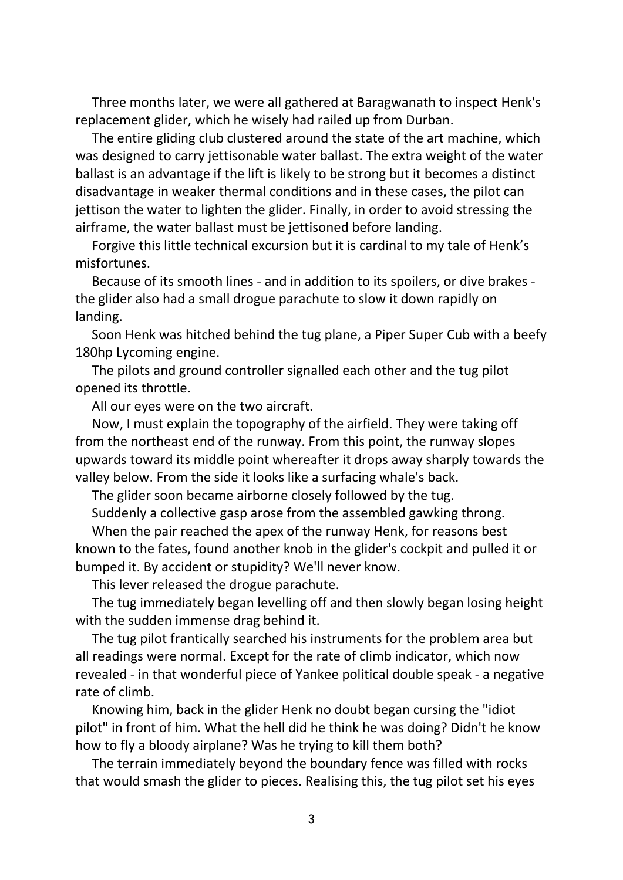Three months later, we were all gathered at Baragwanath to inspect Henk's replacement glider, which he wisely had railed up from Durban.

 The entire gliding club clustered around the state of the art machine, which was designed to carry jettisonable water ballast. The extra weight of the water ballast is an advantage if the lift is likely to be strong but it becomes a distinct disadvantage in weaker thermal conditions and in these cases, the pilot can jettison the water to lighten the glider. Finally, in order to avoid stressing the airframe, the water ballast must be jettisoned before landing.

 Forgive this little technical excursion but it is cardinal to my tale of Henk's misfortunes.

 Because of its smooth lines - and in addition to its spoilers, or dive brakes the glider also had a small drogue parachute to slow it down rapidly on landing.

 Soon Henk was hitched behind the tug plane, a Piper Super Cub with a beefy 180hp Lycoming engine.

 The pilots and ground controller signalled each other and the tug pilot opened its throttle.

All our eyes were on the two aircraft.

 Now, I must explain the topography of the airfield. They were taking off from the northeast end of the runway. From this point, the runway slopes upwards toward its middle point whereafter it drops away sharply towards the valley below. From the side it looks like a surfacing whale's back.

The glider soon became airborne closely followed by the tug.

Suddenly a collective gasp arose from the assembled gawking throng.

 When the pair reached the apex of the runway Henk, for reasons best known to the fates, found another knob in the glider's cockpit and pulled it or bumped it. By accident or stupidity? We'll never know.

This lever released the drogue parachute.

 The tug immediately began levelling off and then slowly began losing height with the sudden immense drag behind it.

 The tug pilot frantically searched his instruments for the problem area but all readings were normal. Except for the rate of climb indicator, which now revealed - in that wonderful piece of Yankee political double speak - a negative rate of climb.

 Knowing him, back in the glider Henk no doubt began cursing the "idiot pilot" in front of him. What the hell did he think he was doing? Didn't he know how to fly a bloody airplane? Was he trying to kill them both?

 The terrain immediately beyond the boundary fence was filled with rocks that would smash the glider to pieces. Realising this, the tug pilot set his eyes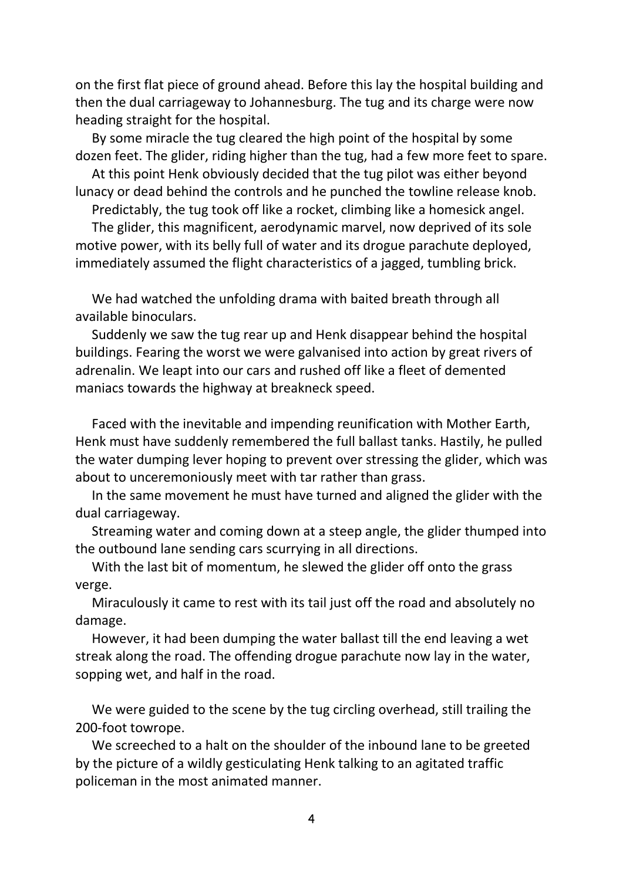on the first flat piece of ground ahead. Before this lay the hospital building and then the dual carriageway to Johannesburg. The tug and its charge were now heading straight for the hospital.

 By some miracle the tug cleared the high point of the hospital by some dozen feet. The glider, riding higher than the tug, had a few more feet to spare.

 At this point Henk obviously decided that the tug pilot was either beyond lunacy or dead behind the controls and he punched the towline release knob.

Predictably, the tug took off like a rocket, climbing like a homesick angel.

 The glider, this magnificent, aerodynamic marvel, now deprived of its sole motive power, with its belly full of water and its drogue parachute deployed, immediately assumed the flight characteristics of a jagged, tumbling brick.

 We had watched the unfolding drama with baited breath through all available binoculars.

 Suddenly we saw the tug rear up and Henk disappear behind the hospital buildings. Fearing the worst we were galvanised into action by great rivers of adrenalin. We leapt into our cars and rushed off like a fleet of demented maniacs towards the highway at breakneck speed.

 Faced with the inevitable and impending reunification with Mother Earth, Henk must have suddenly remembered the full ballast tanks. Hastily, he pulled the water dumping lever hoping to prevent over stressing the glider, which was about to unceremoniously meet with tar rather than grass.

 In the same movement he must have turned and aligned the glider with the dual carriageway.

 Streaming water and coming down at a steep angle, the glider thumped into the outbound lane sending cars scurrying in all directions.

 With the last bit of momentum, he slewed the glider off onto the grass verge.

 Miraculously it came to rest with its tail just off the road and absolutely no damage.

 However, it had been dumping the water ballast till the end leaving a wet streak along the road. The offending drogue parachute now lay in the water, sopping wet, and half in the road.

 We were guided to the scene by the tug circling overhead, still trailing the 200-foot towrope.

 We screeched to a halt on the shoulder of the inbound lane to be greeted by the picture of a wildly gesticulating Henk talking to an agitated traffic policeman in the most animated manner.